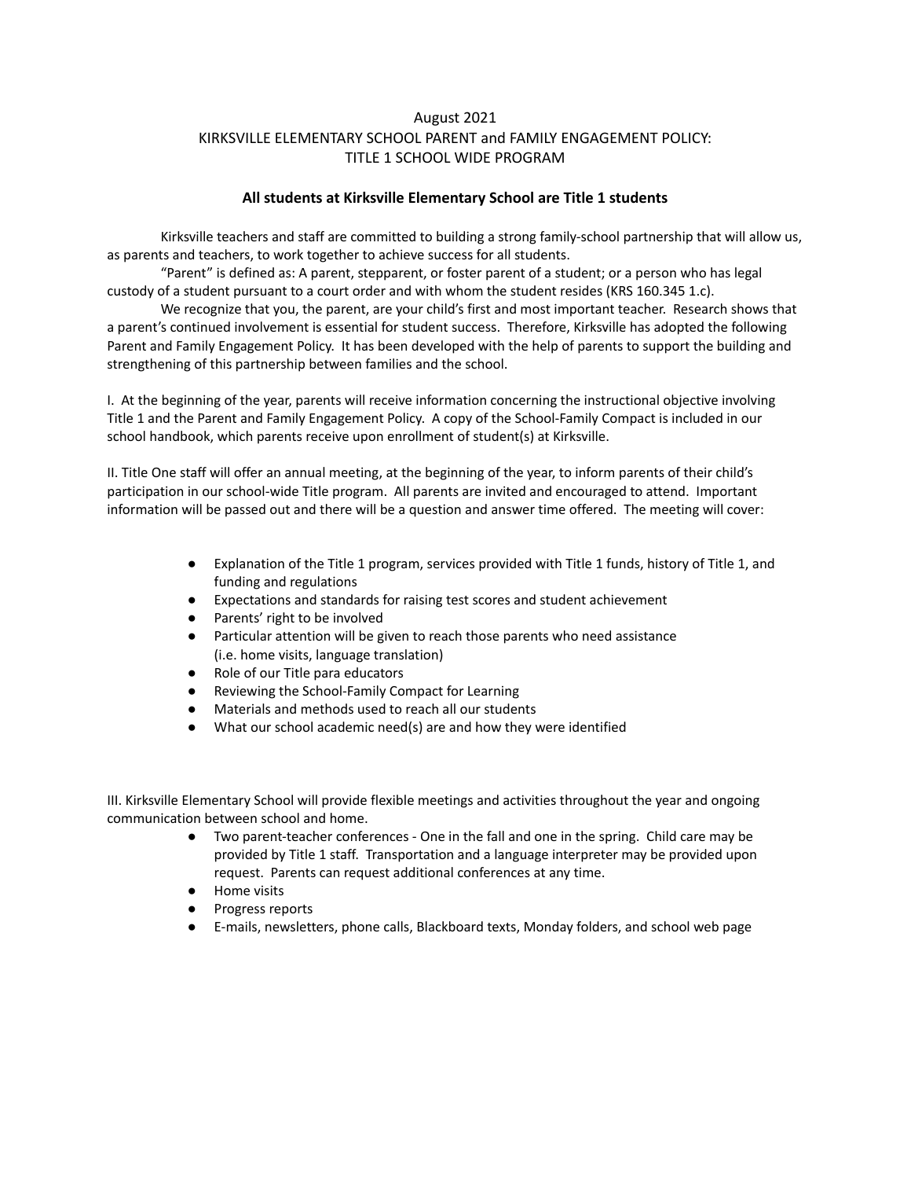## August 2021 KIRKSVILLE ELEMENTARY SCHOOL PARENT and FAMILY ENGAGEMENT POLICY: TITLE 1 SCHOOL WIDE PROGRAM

## **All students at Kirksville Elementary School are Title 1 students**

Kirksville teachers and staff are committed to building a strong family-school partnership that will allow us, as parents and teachers, to work together to achieve success for all students.

"Parent" is defined as: A parent, stepparent, or foster parent of a student; or a person who has legal custody of a student pursuant to a court order and with whom the student resides (KRS 160.345 1.c).

We recognize that you, the parent, are your child's first and most important teacher. Research shows that a parent's continued involvement is essential for student success. Therefore, Kirksville has adopted the following Parent and Family Engagement Policy. It has been developed with the help of parents to support the building and strengthening of this partnership between families and the school.

I. At the beginning of the year, parents will receive information concerning the instructional objective involving Title 1 and the Parent and Family Engagement Policy. A copy of the School-Family Compact is included in our school handbook, which parents receive upon enrollment of student(s) at Kirksville.

II. Title One staff will offer an annual meeting, at the beginning of the year, to inform parents of their child's participation in our school-wide Title program. All parents are invited and encouraged to attend. Important information will be passed out and there will be a question and answer time offered. The meeting will cover:

- Explanation of the Title 1 program, services provided with Title 1 funds, history of Title 1, and funding and regulations
- Expectations and standards for raising test scores and student achievement
- Parents' right to be involved
- Particular attention will be given to reach those parents who need assistance (i.e. home visits, language translation)
- Role of our Title para educators
- Reviewing the School-Family Compact for Learning
- Materials and methods used to reach all our students
- What our school academic need(s) are and how they were identified

III. Kirksville Elementary School will provide flexible meetings and activities throughout the year and ongoing communication between school and home.

- Two parent-teacher conferences One in the fall and one in the spring. Child care may be provided by Title 1 staff. Transportation and a language interpreter may be provided upon request. Parents can request additional conferences at any time.
- Home visits
- Progress reports
- E-mails, newsletters, phone calls, Blackboard texts, Monday folders, and school web page